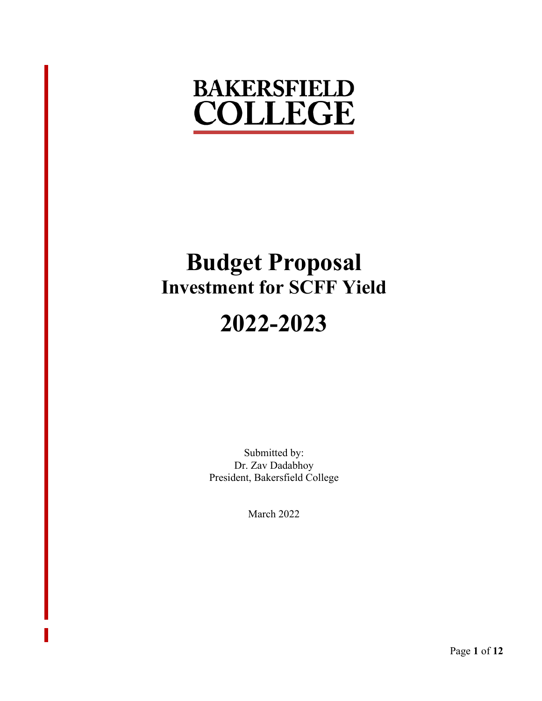## **BAKERSFIELD COLLEGE**

# **Budget Proposal Investment for SCFF Yield**

## **2022-2023**

Submitted by: Dr. Zav Dadabhoy President, Bakersfield College

March 2022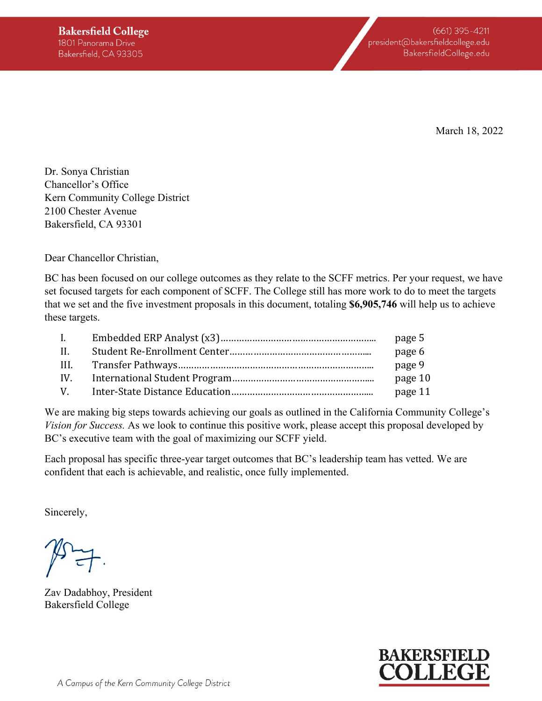March 18, 2022

Dr. Sonya Christian Chancellor's Office Kern Community College District 2100 Chester Avenue Bakersfield, CA 93301

Dear Chancellor Christian,

BC has been focused on our college outcomes as they relate to the SCFF metrics. Per your request, we have set focused targets for each component of SCFF. The College still has more work to do to meet the targets that we set and the five investment proposals in this document, totaling **\$6,905,746** will help us to achieve these targets.

| $\mathbf{I}$ . | page 5  |
|----------------|---------|
| - H. -         | page 6  |
| HI.            | page 9  |
| IV.            | page 10 |
| V              | page 11 |

We are making big steps towards achieving our goals as outlined in the California Community College's *Vision for Success.* As we look to continue this positive work, please accept this proposal developed by BC's executive team with the goal of maximizing our SCFF yield.

Each proposal has specific three-year target outcomes that BC's leadership team has vetted. We are confident that each is achievable, and realistic, once fully implemented.

Sincerely,

Zav Dadabhoy, President Bakersfield College

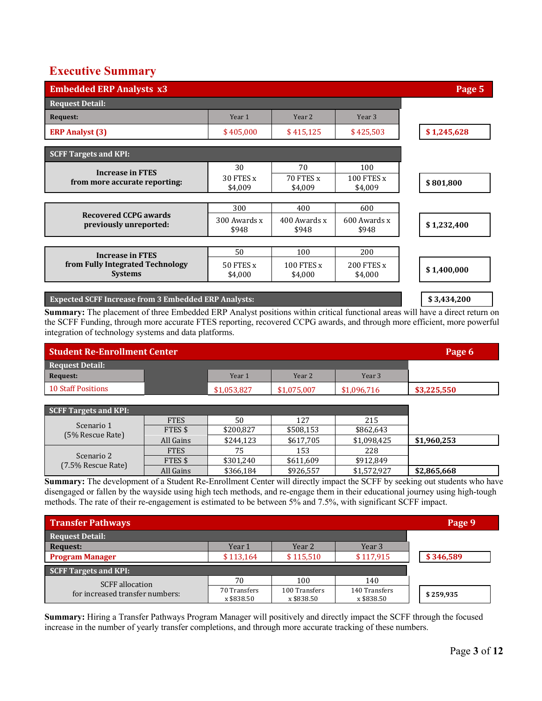#### **Executive Summary**

| <b>Embedded ERP Analysts x3</b>                             |                       |                       |                              | Page 5      |
|-------------------------------------------------------------|-----------------------|-----------------------|------------------------------|-------------|
| <b>Request Detail:</b>                                      |                       |                       |                              |             |
| <b>Request:</b>                                             | Year 1                | Year <sub>2</sub>     | Year <sub>3</sub>            |             |
| <b>ERP Analyst (3)</b>                                      | \$405,000             | \$415,125             | \$425,503                    | \$1,245,628 |
| <b>SCFF Targets and KPI:</b>                                |                       |                       |                              |             |
|                                                             | 30                    | 70                    | 100                          |             |
| <b>Increase in FTES</b><br>from more accurate reporting:    | 30 FTES x<br>\$4,009  | 70 FTES x<br>\$4,009  | 100 FTES x<br>\$4,009        | \$801,800   |
|                                                             |                       |                       |                              |             |
|                                                             | 300                   | 400                   | 600                          |             |
| <b>Recovered CCPG awards</b><br>previously unreported:      | 300 Awards x<br>\$948 | 400 Awards x<br>\$948 | 600 Awards x<br>\$948        | \$1,232,400 |
|                                                             |                       |                       |                              |             |
| <b>Increase in FTES</b>                                     | 50                    | 100                   | 200                          |             |
| from Fully Integrated Technology<br><b>Systems</b>          | 50 FTES x<br>\$4,000  | 100 FTES x<br>\$4,000 | <b>200 FTES x</b><br>\$4,000 | \$1,400,000 |
| <b>Expected SCFF Increase from 3 Embedded ERP Analysts:</b> |                       |                       |                              | \$3,434,200 |

**Summary:** The placement of three Embedded ERP Analyst positions within critical functional areas will have a direct return on the SCFF Funding, through more accurate FTES reporting, recovered CCPG awards, and through more efficient, more powerful integration of technology systems and data platforms.

| <b>Student Re-Enrollment Center</b> | Page 6      |                   |             |             |
|-------------------------------------|-------------|-------------------|-------------|-------------|
| <b>Request Detail:</b>              |             |                   |             |             |
| Request:                            | Year 1      | Year <sub>2</sub> | Year 3      |             |
| 10 Staff Positions                  | \$1,053,827 | \$1,075,007       | \$1,096,716 | \$3,225,550 |

| SCFF Targets and KPI: |             |           |           |             |             |
|-----------------------|-------------|-----------|-----------|-------------|-------------|
|                       | <b>FTES</b> | 50        | 127       | 215         |             |
| Scenario 1            | FTES \$     | \$200,827 | \$508,153 | \$862,643   |             |
| (5% Rescue Rate)      | All Gains   | \$244.123 | \$617,705 | \$1,098,425 | \$1,960,253 |
|                       | <b>FTES</b> | 75        | 153       | 228         |             |
| Scenario 2            | FTES \$     | \$301,240 | \$611,609 | \$912.849   |             |
| (7.5% Rescue Rate)    | All Gains   | \$366.184 | \$926.557 | \$1,572,927 | \$2,865,668 |

**Summary:** The development of a Student Re-Enrollment Center will directly impact the SCFF by seeking out students who have disengaged or fallen by the wayside using high tech methods, and re-engage them in their educational journey using high-tough methods. The rate of their re-engagement is estimated to be between 5% and 7.5%, with significant SCFF impact.

| <b>Transfer Pathways</b>        |                            |                             |                             | Page 9    |
|---------------------------------|----------------------------|-----------------------------|-----------------------------|-----------|
| Request Detail:                 |                            |                             |                             |           |
| Request:                        | Year 1                     | Year 2                      | Year 3                      |           |
| <b>Program Manager</b>          | \$113,164                  | \$115,510                   | \$117,915                   | \$346,589 |
| SCFF Targets and KPI:           |                            |                             |                             |           |
| <b>SCFF</b> allocation          | 70                         | 100                         | 140                         |           |
| for increased transfer numbers: | 70 Transfers<br>x \$838.50 | 100 Transfers<br>x \$838.50 | 140 Transfers<br>x \$838.50 | \$259,935 |

**Summary:** Hiring a Transfer Pathways Program Manager will positively and directly impact the SCFF through the focused increase in the number of yearly transfer completions, and through more accurate tracking of these numbers.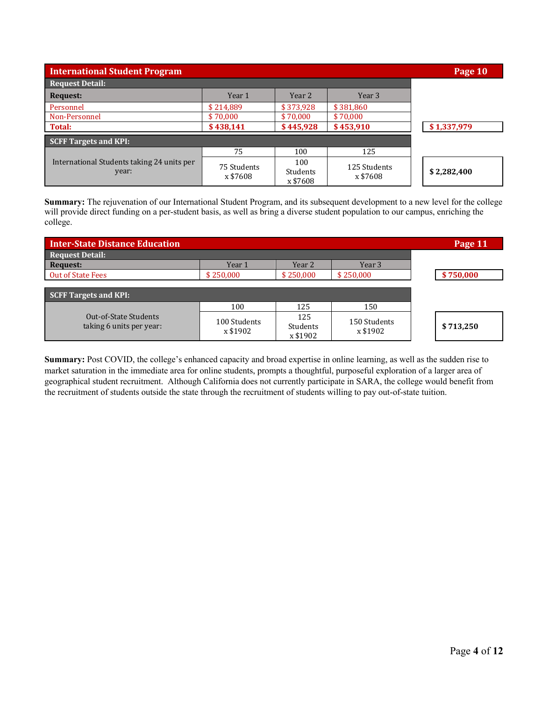| <b>International Student Program</b>                |                         |                             |                          | Page 10     |
|-----------------------------------------------------|-------------------------|-----------------------------|--------------------------|-------------|
| <b>Request Detail:</b>                              |                         |                             |                          |             |
| Request:                                            | Year 1                  | Year 2                      | Year <sub>3</sub>        |             |
| Personnel                                           | \$214,889               | \$373,928                   | \$381,860                |             |
| Non-Personnel                                       | \$70,000                | \$70,000                    | \$70,000                 |             |
| Total:                                              | \$438,141               | \$445,928                   | \$453,910                | \$1,337,979 |
| <b>SCFF Targets and KPI:</b>                        |                         |                             |                          |             |
|                                                     | 75                      | 100                         | 125                      |             |
| International Students taking 24 units per<br>year: | 75 Students<br>x \$7608 | 100<br>Students<br>x \$7608 | 125 Students<br>x \$7608 | \$2,282,400 |

**Summary:** The rejuvenation of our International Student Program, and its subsequent development to a new level for the college will provide direct funding on a per-student basis, as well as bring a diverse student population to our campus, enriching the college.

| <b>Inter-State Distance Education</b>             |                          |                             |                          | Page 11   |
|---------------------------------------------------|--------------------------|-----------------------------|--------------------------|-----------|
| <b>Request Detail:</b>                            |                          |                             |                          |           |
| Request:                                          | Year 1                   | Year 2                      | Year 3                   |           |
| <b>Out of State Fees</b>                          | \$250,000                | \$250,000                   | \$250,000                | \$750,000 |
| <b>SCFF Targets and KPI:</b>                      |                          |                             |                          |           |
|                                                   | 100                      | 125                         | 150                      |           |
| Out-of-State Students<br>taking 6 units per year: | 100 Students<br>x \$1902 | 125<br>Students<br>x \$1902 | 150 Students<br>x \$1902 | \$713,250 |

**Summary:** Post COVID, the college's enhanced capacity and broad expertise in online learning, as well as the sudden rise to market saturation in the immediate area for online students, prompts a thoughtful, purposeful exploration of a larger area of geographical student recruitment. Although California does not currently participate in SARA, the college would benefit from the recruitment of students outside the state through the recruitment of students willing to pay out-of-state tuition.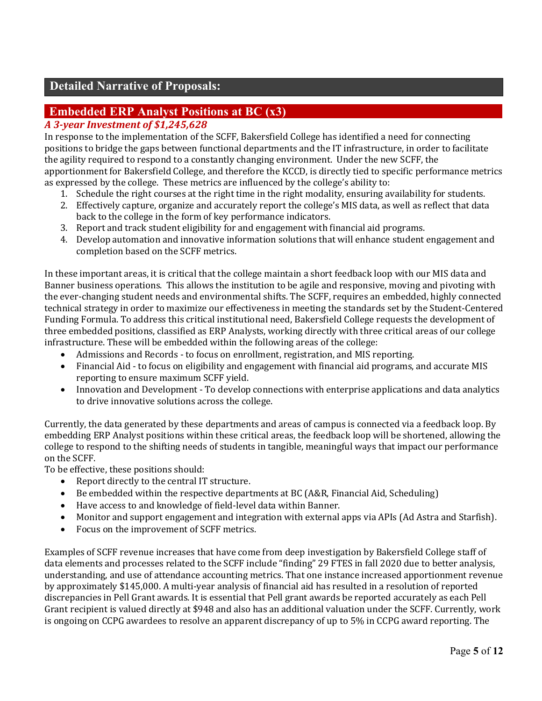#### **Detailed Narrative of Proposals:**

#### **Embedded ERP Analyst Positions at BC (x3)**

#### *A 3-year Investment of \$1,245,628*

In response to the implementation of the SCFF, Bakersfield College has identified a need for connecting positions to bridge the gaps between functional departments and the IT infrastructure, in order to facilitate the agility required to respond to a constantly changing environment. Under the new SCFF, the apportionment for Bakersfield College, and therefore the KCCD, is directly tied to specific performance metrics as expressed by the college. These metrics are influenced by the college's ability to:

- 1. Schedule the right courses at the right time in the right modality, ensuring availability for students.
- 2. Effectively capture, organize and accurately report the college's MIS data, as well as reflect that data back to the college in the form of key performance indicators.
- 3. Report and track student eligibility for and engagement with financial aid programs.
- 4. Develop automation and innovative information solutions that will enhance student engagement and completion based on the SCFF metrics.

In these important areas, it is critical that the college maintain a short feedback loop with our MIS data and Banner business operations. This allows the institution to be agile and responsive, moving and pivoting with the ever-changing student needs and environmental shifts. The SCFF, requires an embedded, highly connected technical strategy in order to maximize our effectiveness in meeting the standards set by the Student-Centered Funding Formula. To address this critical institutional need, Bakersfield College requests the development of three embedded positions, classified as ERP Analysts, working directly with three critical areas of our college infrastructure. These will be embedded within the following areas of the college:

- Admissions and Records to focus on enrollment, registration, and MIS reporting.
- Financial Aid to focus on eligibility and engagement with financial aid programs, and accurate MIS reporting to ensure maximum SCFF yield.
- Innovation and Development To develop connections with enterprise applications and data analytics to drive innovative solutions across the college.

Currently, the data generated by these departments and areas of campus is connected via a feedback loop. By embedding ERP Analyst positions within these critical areas, the feedback loop will be shortened, allowing the college to respond to the shifting needs of students in tangible, meaningful ways that impact our performance on the SCFF.

To be effective, these positions should:

- Report directly to the central IT structure.
- Be embedded within the respective departments at BC (A&R, Financial Aid, Scheduling)
- Have access to and knowledge of field-level data within Banner.
- Monitor and support engagement and integration with external apps via APIs (Ad Astra and Starfish).
- Focus on the improvement of SCFF metrics.

Examples of SCFF revenue increases that have come from deep investigation by Bakersfield College staff of data elements and processes related to the SCFF include "finding" 29 FTES in fall 2020 due to better analysis, understanding, and use of attendance accounting metrics. That one instance increased apportionment revenue by approximately \$145,000. A multi-year analysis of financial aid has resulted in a resolution of reported discrepancies in Pell Grant awards. It is essential that Pell grant awards be reported accurately as each Pell Grant recipient is valued directly at \$948 and also has an additional valuation under the SCFF. Currently, work is ongoing on CCPG awardees to resolve an apparent discrepancy of up to 5% in CCPG award reporting. The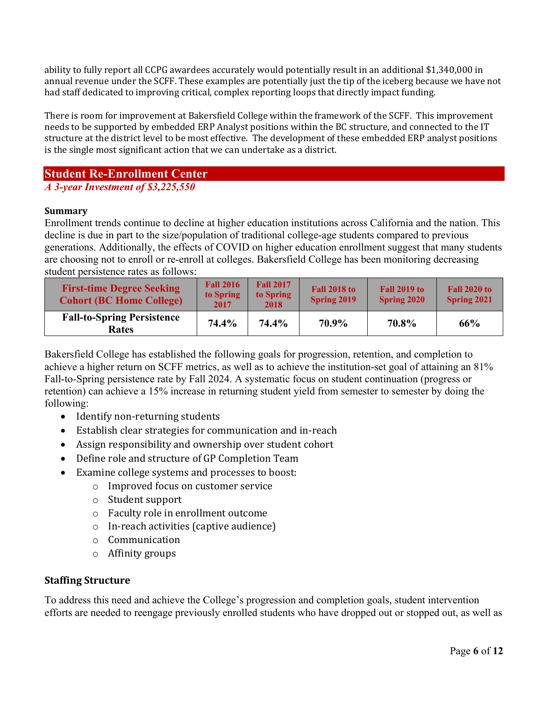ability to fully report all CCPG awardees accurately would potentially result in an additional \$1,340,000 in annual revenue under the SCFF. These examples are potentially just the tip of the iceberg because we have not had staff dedicated to improving critical, complex reporting loops that directly impact funding.

There is room for improvement at Bakersfield College within the framework of the SCFF. This improvement needs to be supported by embedded ERP Analyst positions within the BC structure, and connected to the IT structure at the district level to be most effective. The development of these embedded ERP analyst positions is the single most significant action that we can undertake as a district.

#### **Student Re-Enrollment Center**

#### *A 3-year Investment of \$3,225,550*

#### **Summary**

Enrollment trends continue to decline at higher education institutions across California and the nation. This decline is due in part to the size/population of traditional college-age students compared to previous generations. Additionally, the effects of COVID on higher education enrollment suggest that many students are choosing not to enroll or re-enroll at colleges. Bakersfield College has been monitoring decreasing student persistence rates as follows:

| <b>First-time Degree Seeking</b><br><b>Cohort (BC Home College)</b> | <b>Fall 2016</b><br>to Spring<br>2017 | <b>Fall 2017</b><br>to Spring<br>2018 | <b>Fall 2018 to</b><br><b>Spring 2019</b> | <b>Fall 2019 to</b><br><b>Spring 2020</b> | <b>Fall 2020 to</b><br><b>Spring 2021</b> |
|---------------------------------------------------------------------|---------------------------------------|---------------------------------------|-------------------------------------------|-------------------------------------------|-------------------------------------------|
| <b>Fall-to-Spring Persistence</b><br><b>Rates</b>                   | 74.4%                                 | 74.4%                                 | 70.9%                                     | 70.8%                                     | 66%                                       |

Bakersfield College has established the following goals for progression, retention, and completion to achieve a higher return on SCFF metrics, as well as to achieve the institution-set goal of attaining an 81% Fall-to-Spring persistence rate by Fall 2024. A systematic focus on student continuation (progress or retention) can achieve a 15% increase in returning student yield from semester to semester by doing the following:

- Identify non-returning students
- Establish clear strategies for communication and in-reach
- Assign responsibility and ownership over student cohort
- Define role and structure of GP Completion Team
- Examine college systems and processes to boost:
	- o Improved focus on customer service
	- $\circ$  Student support
	- o Faculty role in enrollment outcome
	- $\circ$  In-reach activities (captive audience)
	- o Communication
	- $\circ$  Affinity groups

#### **Staffing Structure**

To address this need and achieve the College's progression and completion goals, student intervention efforts are needed to reengage previously enrolled students who have dropped out or stopped out, as well as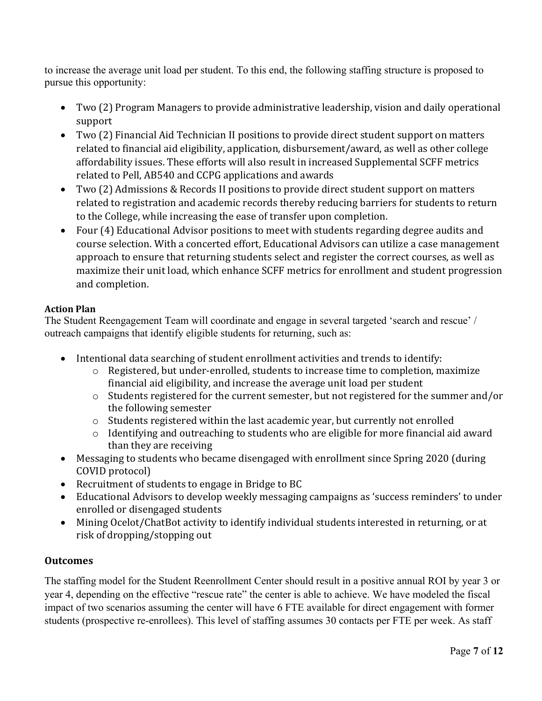to increase the average unit load per student. To this end, the following staffing structure is proposed to pursue this opportunity:

- Two (2) Program Managers to provide administrative leadership, vision and daily operational support
- Two (2) Financial Aid Technician II positions to provide direct student support on matters related to financial aid eligibility, application, disbursement/award, as well as other college affordability issues. These efforts will also result in increased Supplemental SCFF metrics related to Pell, AB540 and CCPG applications and awards
- Two (2) Admissions & Records II positions to provide direct student support on matters related to registration and academic records thereby reducing barriers for students to return to the College, while increasing the ease of transfer upon completion.
- Four (4) Educational Advisor positions to meet with students regarding degree audits and course selection. With a concerted effort, Educational Advisors can utilize a case management approach to ensure that returning students select and register the correct courses, as well as maximize their unit load, which enhance SCFF metrics for enrollment and student progression and completion.

#### **Action Plan**

The Student Reengagement Team will coordinate and engage in several targeted 'search and rescue' / outreach campaigns that identify eligible students for returning, such as:

- Intentional data searching of student enrollment activities and trends to identify:
	- $\circ$  Registered, but under-enrolled, students to increase time to completion, maximize financial aid eligibility, and increase the average unit load per student
	- o Students registered for the current semester, but not registered for the summer and/or the following semester
	- o Students registered within the last academic year, but currently not enrolled
	- o Identifying and outreaching to students who are eligible for more financial aid award than they are receiving
- Messaging to students who became disengaged with enrollment since Spring 2020 (during COVID protocol)
- Recruitment of students to engage in Bridge to BC
- Educational Advisors to develop weekly messaging campaigns as 'success reminders' to under enrolled or disengaged students
- Mining Ocelot/ChatBot activity to identify individual students interested in returning, or at risk of dropping/stopping out

#### **Outcomes**

The staffing model for the Student Reenrollment Center should result in a positive annual ROI by year 3 or year 4, depending on the effective "rescue rate" the center is able to achieve. We have modeled the fiscal impact of two scenarios assuming the center will have 6 FTE available for direct engagement with former students (prospective re-enrollees). This level of staffing assumes 30 contacts per FTE per week. As staff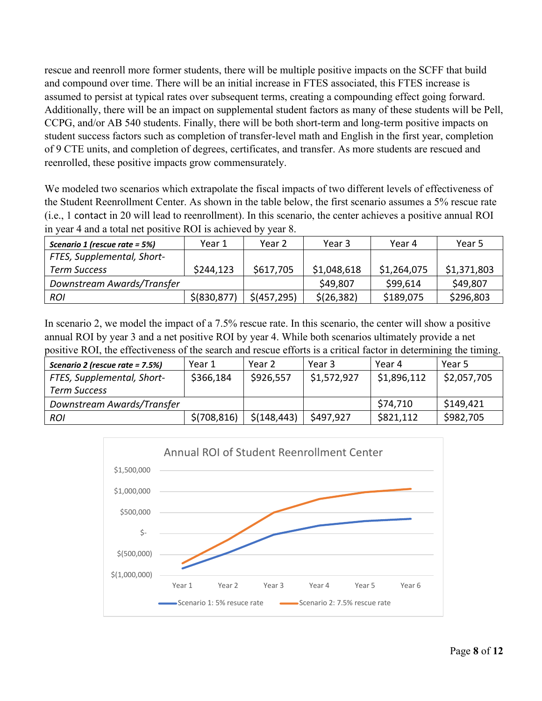rescue and reenroll more former students, there will be multiple positive impacts on the SCFF that build and compound over time. There will be an initial increase in FTES associated, this FTES increase is assumed to persist at typical rates over subsequent terms, creating a compounding effect going forward. Additionally, there will be an impact on supplemental student factors as many of these students will be Pell, CCPG, and/or AB 540 students. Finally, there will be both short-term and long-term positive impacts on student success factors such as completion of transfer-level math and English in the first year, completion of 9 CTE units, and completion of degrees, certificates, and transfer. As more students are rescued and reenrolled, these positive impacts grow commensurately.

We modeled two scenarios which extrapolate the fiscal impacts of two different levels of effectiveness of the Student Reenrollment Center. As shown in the table below, the first scenario assumes a 5% rescue rate (i.e., 1 contact in 20 will lead to reenrollment). In this scenario, the center achieves a positive annual ROI in year 4 and a total net positive ROI is achieved by year 8.

| Scenario 1 (rescue rate = 5%) | Year 1        | Year 2        | Year 3      | Year 4      | Year 5      |
|-------------------------------|---------------|---------------|-------------|-------------|-------------|
| FTES, Supplemental, Short-    |               |               |             |             |             |
| Term Success                  | \$244,123     | \$617,705     | \$1,048,618 | \$1,264,075 | \$1,371,803 |
| Downstream Awards/Transfer    |               |               | \$49,807    | \$99,614    | \$49,807    |
| <b>ROI</b>                    | \$ (830, 877) | $$$ (457,295) | \$(26, 382) | \$189,075   | \$296,803   |

In scenario 2, we model the impact of a 7.5% rescue rate. In this scenario, the center will show a positive annual ROI by year 3 and a net positive ROI by year 4. While both scenarios ultimately provide a net positive ROI, the effectiveness of the search and rescue efforts is a critical factor in determining the timing.

| Scenario 2 (rescue rate = 7.5%) | Year 1       | Year 2       | Year 3      | Year 4      | Year 5      |
|---------------------------------|--------------|--------------|-------------|-------------|-------------|
| FTES, Supplemental, Short-      | \$366,184    | \$926,557    | \$1,572,927 | \$1,896,112 | \$2,057,705 |
| <b>Term Success</b>             |              |              |             |             |             |
| Downstream Awards/Transfer      |              |              |             | \$74,710    | \$149,421   |
| <b>ROI</b>                      | \$(708, 816) | \$(148, 443) | \$497,927   | \$821,112   | \$982,705   |

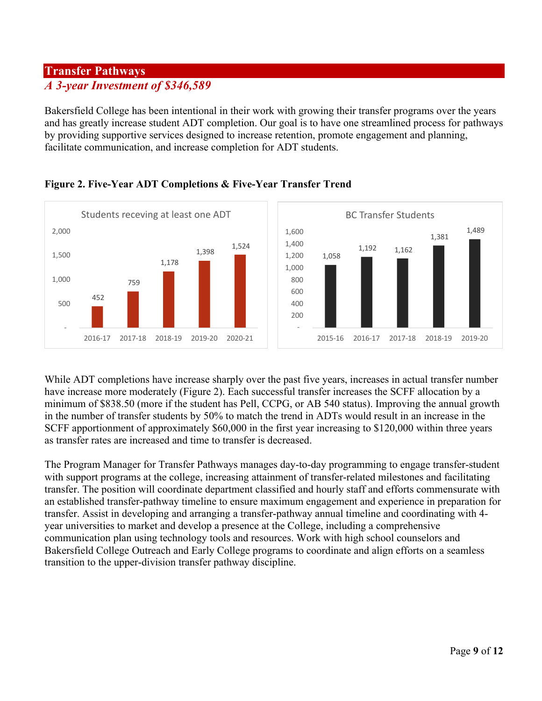#### **Transfer Pathways** *A 3-year Investment of \$346,589*

Bakersfield College has been intentional in their work with growing their transfer programs over the years and has greatly increase student ADT completion. Our goal is to have one streamlined process for pathways by providing supportive services designed to increase retention, promote engagement and planning, facilitate communication, and increase completion for ADT students.



#### **Figure 2. Five-Year ADT Completions & Five-Year Transfer Trend**

While ADT completions have increase sharply over the past five years, increases in actual transfer number have increase more moderately (Figure 2). Each successful transfer increases the SCFF allocation by a minimum of \$838.50 (more if the student has Pell, CCPG, or AB 540 status). Improving the annual growth in the number of transfer students by 50% to match the trend in ADTs would result in an increase in the SCFF apportionment of approximately \$60,000 in the first year increasing to \$120,000 within three years as transfer rates are increased and time to transfer is decreased.

The Program Manager for Transfer Pathways manages day-to-day programming to engage transfer-student with support programs at the college, increasing attainment of transfer-related milestones and facilitating transfer. The position will coordinate department classified and hourly staff and efforts commensurate with an established transfer-pathway timeline to ensure maximum engagement and experience in preparation for transfer. Assist in developing and arranging a transfer-pathway annual timeline and coordinating with 4 year universities to market and develop a presence at the College, including a comprehensive communication plan using technology tools and resources. Work with high school counselors and Bakersfield College Outreach and Early College programs to coordinate and align efforts on a seamless transition to the upper-division transfer pathway discipline.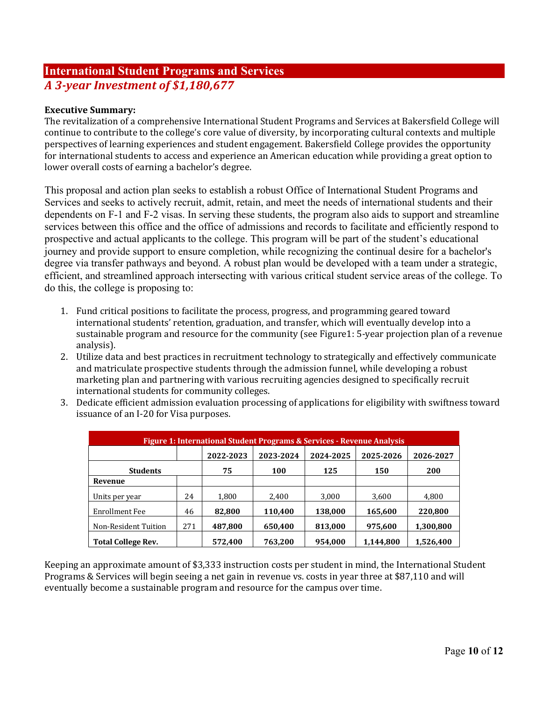#### **International Student Programs and Services** *A 3-year Investment of \$1,180,677*

#### **Executive Summary:**

The revitalization of a comprehensive International Student Programs and Services at Bakersfield College will continue to contribute to the college's core value of diversity, by incorporating cultural contexts and multiple perspectives of learning experiences and student engagement. Bakersfield College provides the opportunity for international students to access and experience an American education while providing a great option to lower overall costs of earning a bachelor's degree.

This proposal and action plan seeks to establish a robust Office of International Student Programs and Services and seeks to actively recruit, admit, retain, and meet the needs of international students and their dependents on F-1 and F-2 visas. In serving these students, the program also aids to support and streamline services between this office and the office of admissions and records to facilitate and efficiently respond to prospective and actual applicants to the college. This program will be part of the student's educational journey and provide support to ensure completion, while recognizing the continual desire for a bachelor's degree via transfer pathways and beyond. A robust plan would be developed with a team under a strategic, efficient, and streamlined approach intersecting with various critical student service areas of the college. To do this, the college is proposing to:

- 1. Fund critical positions to facilitate the process, progress, and programming geared toward international students' retention, graduation, and transfer, which will eventually develop into a sustainable program and resource for the community (see Figure1: 5-year projection plan of a revenue analysis).
- 2. Utilize data and best practices in recruitment technology to strategically and effectively communicate and matriculate prospective students through the admission funnel, while developing a robust marketing plan and partnering with various recruiting agencies designed to specifically recruit international students for community colleges.
- 3. Dedicate efficient admission evaluation processing of applications for eligibility with swiftness toward issuance of an I-20 for Visa purposes.

| Figure 1: International Student Programs & Services - Revenue Analysis |     |           |           |           |           |           |  |  |
|------------------------------------------------------------------------|-----|-----------|-----------|-----------|-----------|-----------|--|--|
|                                                                        |     | 2022-2023 | 2023-2024 | 2024-2025 | 2025-2026 | 2026-2027 |  |  |
| <b>Students</b>                                                        |     | 75        | 100       | 125       | 150       | 200       |  |  |
| Revenue                                                                |     |           |           |           |           |           |  |  |
| Units per year                                                         | 24  | 1,800     | 2,400     | 3.000     | 3,600     | 4,800     |  |  |
| Enrollment Fee                                                         | 46  | 82.800    | 110.400   | 138.000   | 165.600   | 220,800   |  |  |
| Non-Resident Tuition                                                   | 271 | 487,800   | 650.400   | 813.000   | 975.600   | 1.300.800 |  |  |
| <b>Total College Rev.</b>                                              |     | 572,400   | 763,200   | 954.000   | 1.144.800 | 1,526,400 |  |  |

Keeping an approximate amount of \$3,333 instruction costs per student in mind, the International Student Programs & Services will begin seeing a net gain in revenue vs. costs in year three at \$87,110 and will eventually become a sustainable program and resource for the campus over time.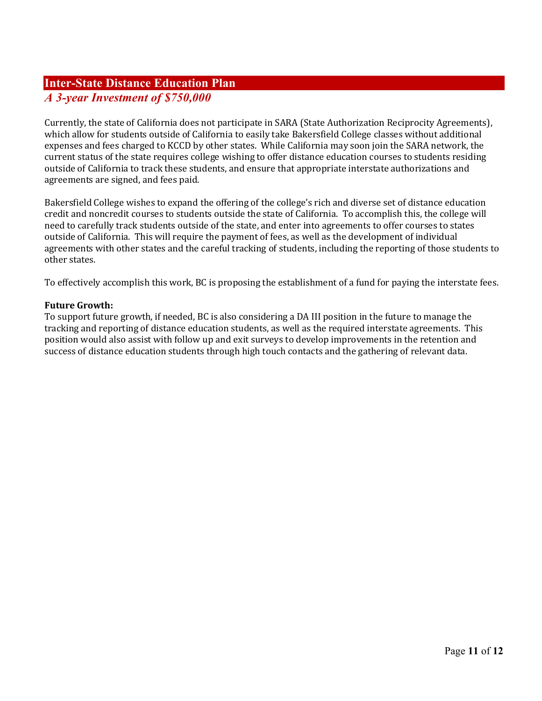#### **Inter-State Distance Education Plan** *A 3-year Investment of \$750,000*

Currently, the state of California does not participate in SARA (State Authorization Reciprocity Agreements), which allow for students outside of California to easily take Bakersfield College classes without additional expenses and fees charged to KCCD by other states. While California may soon join the SARA network, the current status of the state requires college wishing to offer distance education courses to students residing outside of California to track these students, and ensure that appropriate interstate authorizations and agreements are signed, and fees paid.

Bakersfield College wishes to expand the offering of the college's rich and diverse set of distance education credit and noncredit courses to students outside the state of California. To accomplish this, the college will need to carefully track students outside of the state, and enter into agreements to offer courses to states outside of California. This will require the payment of fees, as well as the development of individual agreements with other states and the careful tracking of students, including the reporting of those students to other states.

To effectively accomplish this work, BC is proposing the establishment of a fund for paying the interstate fees.

#### **Future Growth:**

To support future growth, if needed, BC is also considering a DA III position in the future to manage the tracking and reporting of distance education students, as well as the required interstate agreements. This position would also assist with follow up and exit surveys to develop improvements in the retention and success of distance education students through high touch contacts and the gathering of relevant data.